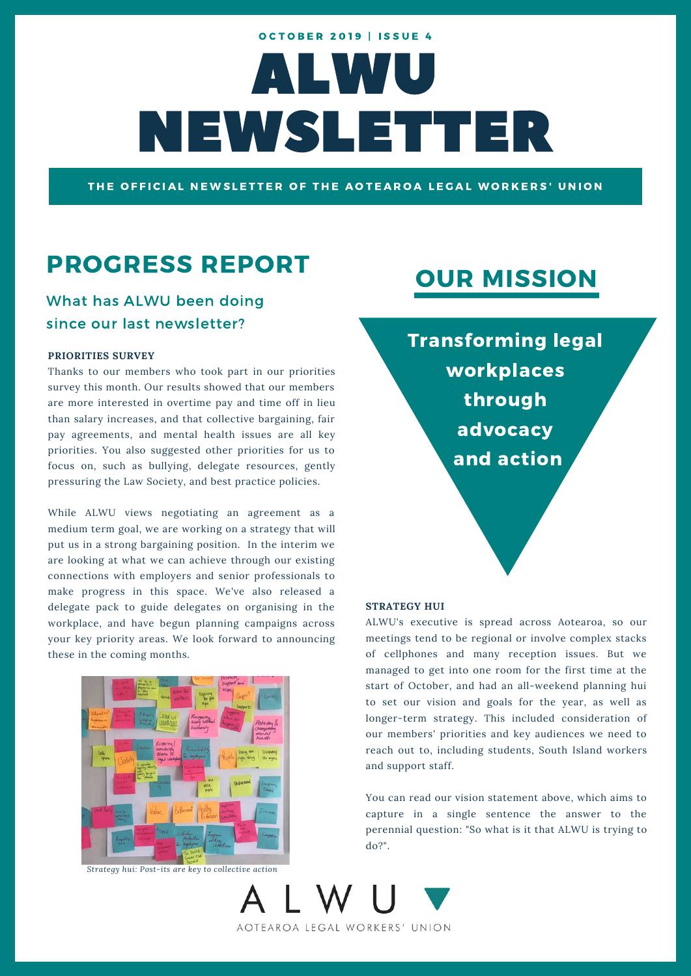# ALWU NEWSLETTER **OCTOBER 2019 | ISSUE 4**

THE OFFICIAL NEWSLETTER OF THE AOTEAROA LEGAL WORKERS' UNION

### PROGRESS REPORT

### What has ALWU been doing since our last newsletter?

#### **PRIORITIES SURVEY**

Thanks to our members who took part in our priorities survey this month. Our results showed that our members are more interested in overtime pay and time off in lieu than salary increases, and that collective bargaining, fair pay agreements, and mental health issues are all key priorities. You also suggested other priorities for us to focus on, such as bullying, delegate resources, gently pressuring the Law Society, and best practice policies.

While ALWU views negotiating an agreement as a medium term goal, we are working on a strategy that will put us in a strong bargaining position. In the interim we are looking at what we can achieve through our existing connections with employers and senior professionals to make progress in this space. We've also released a delegate pack to guide delegates on organising in the workplace, and have begun planning campaigns across your key priority areas. We look forward to announcing these in the coming months.



*Strategy hui: Post-its are key to collective action*

# OUR MISSION

Transforming legal workplaces through advocacy and action

#### **STRATEGY HUI**

ALWU's executive is spread across Aotearoa, so our meetings tend to be regional or involve complex stacks of cellphones and many reception issues. But we managed to get into one room for the first time at the start of October, and had an all-weekend planning hui to set our vision and goals for the year, as well as longer-term strategy. This included consideration of our members' priorities and key audiences we need to reach out to, including students, South Island workers and support staff.

You can read our vision statement above, which aims to capture in a single sentence the answer to the perennial question: "So what is it that ALWU is trying to do?".

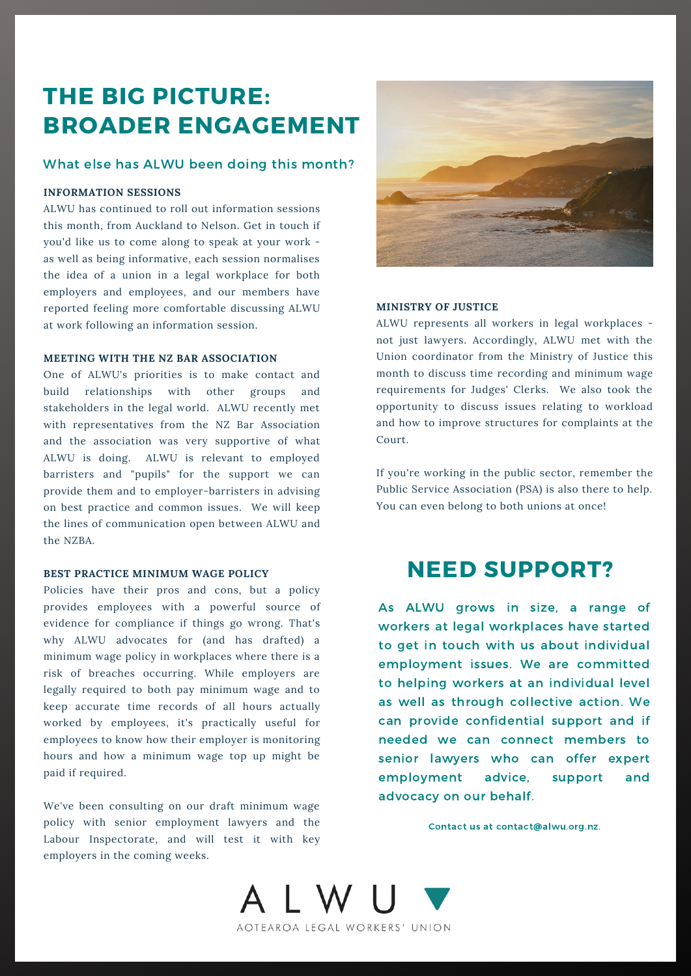## THE BIG PICTURE: BROADER ENGAGEMENT

### What else has ALWU been doing this month?

#### **INFORMATION SESSIONS**

ALWU has continued to roll out information sessions this month, from Auckland to Nelson. Get in touch if you'd like us to come along to speak at your work as well as being informative, each session normalises the idea of a union in a legal workplace for both employers and employees, and our members have reported feeling more comfortable discussing ALWU at work following an information session.

#### **MEETING WITH THE NZ BAR ASSOCIATION**

One of ALWU's priorities is to make contact and build relationships with other groups and stakeholders in the legal world. ALWU recently met with representatives from the NZ Bar Association and the association was very supportive of what ALWU is doing. ALWU is relevant to employed barristers and "pupils" for the support we can provide them and to employer-barristers in advising on best practice and common issues. We will keep the lines of communication open between ALWU and the NZBA.

#### **BEST PRACTICE MINIMUM WAGE POLICY**

Policies have their pros and cons, but a policy provides employees with a powerful source of evidence for compliance if things go wrong. That's why ALWU advocates for (and has drafted) a minimum wage policy in workplaces where there is a risk of breaches occurring. While employers are legally required to both pay minimum wage and to keep accurate time records of all hours actually worked by employees, it's practically useful for employees to know how their employer is monitoring hours and how a minimum wage top up might be paid if required.

We've been consulting on our draft minimum wage policy with senior employment lawyers and the Labour Inspectorate, and will test it with key employers in the coming weeks.



#### **MINISTRY OF JUSTICE**

ALWU represents all workers in legal workplaces not just lawyers. Accordingly, ALWU met with the Union coordinator from the Ministry of Justice this month to discuss time recording and minimum wage requirements for Judges' Clerks. We also took the opportunity to discuss issues relating to workload and how to improve structures for complaints at the Court.

If you're working in the public sector, remember the Public Service Association (PSA) is also there to help. You can even belong to both unions at once!

### NEED SUPPORT?

As ALWU grows in size, a range of workers at legal workplaces have started to get in touch with us about individual employment issues. We are committed to helping workers at an individual level as well as through collective action. We can provide confidential support and if needed we can connect members to senior lawyers who can offer expert employment advice, support and advocacy on our behalf.

Contact us at contact@alwu.org.nz.